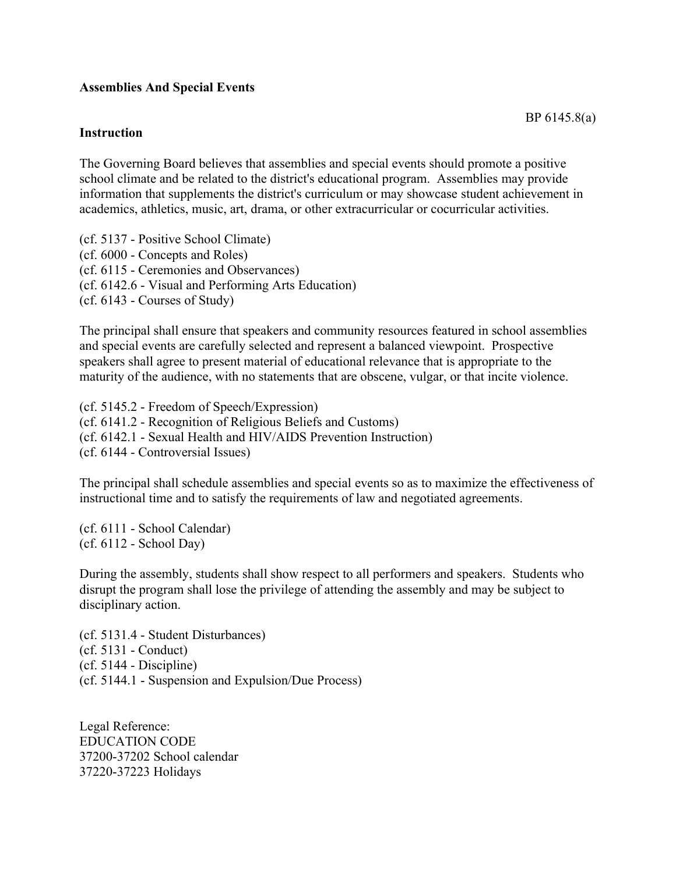## **Assemblies And Special Events**

## **Instruction**

The Governing Board believes that assemblies and special events should promote a positive school climate and be related to the district's educational program. Assemblies may provide information that supplements the district's curriculum or may showcase student achievement in academics, athletics, music, art, drama, or other extracurricular or cocurricular activities.

(cf. 5137 - Positive School Climate) (cf. 6000 - Concepts and Roles) (cf. 6115 - Ceremonies and Observances) (cf. 6142.6 - Visual and Performing Arts Education) (cf. 6143 - Courses of Study)

The principal shall ensure that speakers and community resources featured in school assemblies and special events are carefully selected and represent a balanced viewpoint. Prospective speakers shall agree to present material of educational relevance that is appropriate to the maturity of the audience, with no statements that are obscene, vulgar, or that incite violence.

(cf. 5145.2 - Freedom of Speech/Expression) (cf. 6141.2 - Recognition of Religious Beliefs and Customs) (cf. 6142.1 - Sexual Health and HIV/AIDS Prevention Instruction) (cf. 6144 - Controversial Issues)

The principal shall schedule assemblies and special events so as to maximize the effectiveness of instructional time and to satisfy the requirements of law and negotiated agreements.

(cf. 6111 - School Calendar) (cf. 6112 - School Day)

During the assembly, students shall show respect to all performers and speakers. Students who disrupt the program shall lose the privilege of attending the assembly and may be subject to disciplinary action.

(cf. 5131.4 - Student Disturbances) (cf. 5131 - Conduct) (cf. 5144 - Discipline) (cf. 5144.1 - Suspension and Expulsion/Due Process)

Legal Reference: EDUCATION CODE 37200-37202 School calendar 37220-37223 Holidays